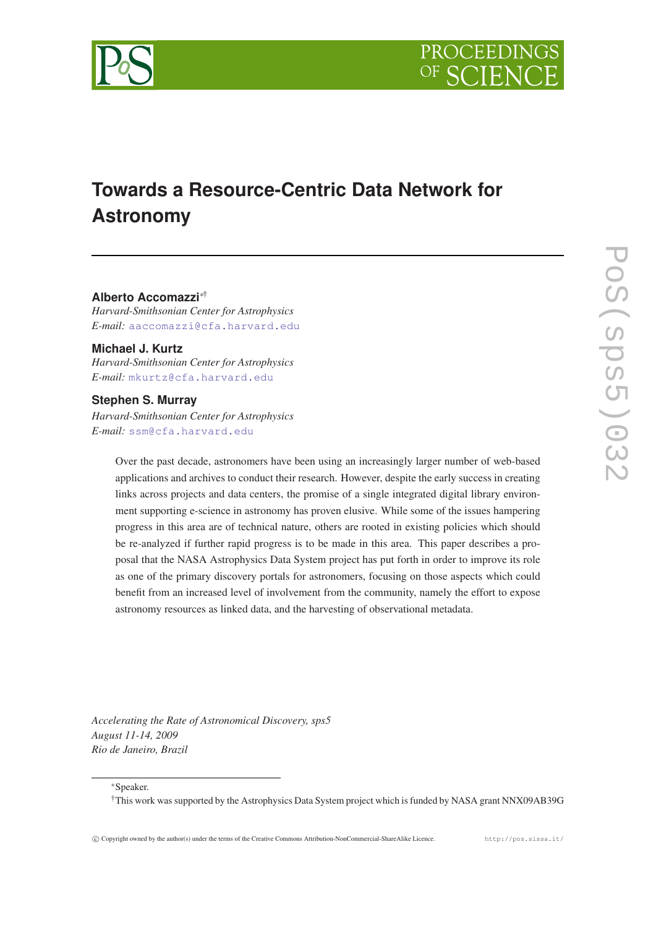



# **Towards a Resource-Centric Data Network for Astronomy**

## **Alberto Accomazzi**∗†

*Harvard-Smithsonian Center for Astrophysics E-mail:* [aaccomazzi@cfa.harvard.edu](mailto:aaccomazzi@cfa.harvard.edu)

**Michael J. Kurtz** *Harvard-Smithsonian Center for Astrophysics E-mail:* [mkurtz@cfa.harvard.edu](mailto:mkurtz@cfa.harvard.edu)

## **Stephen S. Murray**

*Harvard-Smithsonian Center for Astrophysics E-mail:* [ssm@cfa.harvard.edu](mailto:ssm@cfa.harvard.edu)

> Over the past decade, astronomers have been using an increasingly larger number of web-based applications and archives to conduct their research. However, despite the early success in creating links across projects and data centers, the promise of a single integrated digital library environment supporting e-science in astronomy has proven elusive. While some of the issues hampering progress in this area are of technical nature, others are rooted in existing policies which should be re-analyzed if further rapid progress is to be made in this area. This paper describes a proposal that the NASA Astrophysics Data System project has put forth in order to improve its role as one of the primary discovery portals for astronomers, focusing on those aspects which could benefit from an increased level of involvement from the community, namely the effort to expose astronomy resources as linked data, and the harvesting of observational metadata.

*Accelerating the Rate of Astronomical Discovery, sps5 August 11-14, 2009 Rio de Janeiro, Brazil*

<sup>∗</sup>Speaker.

†This work was supported by the Astrophysics Data System project which is funded by NASA grant NNX09AB39G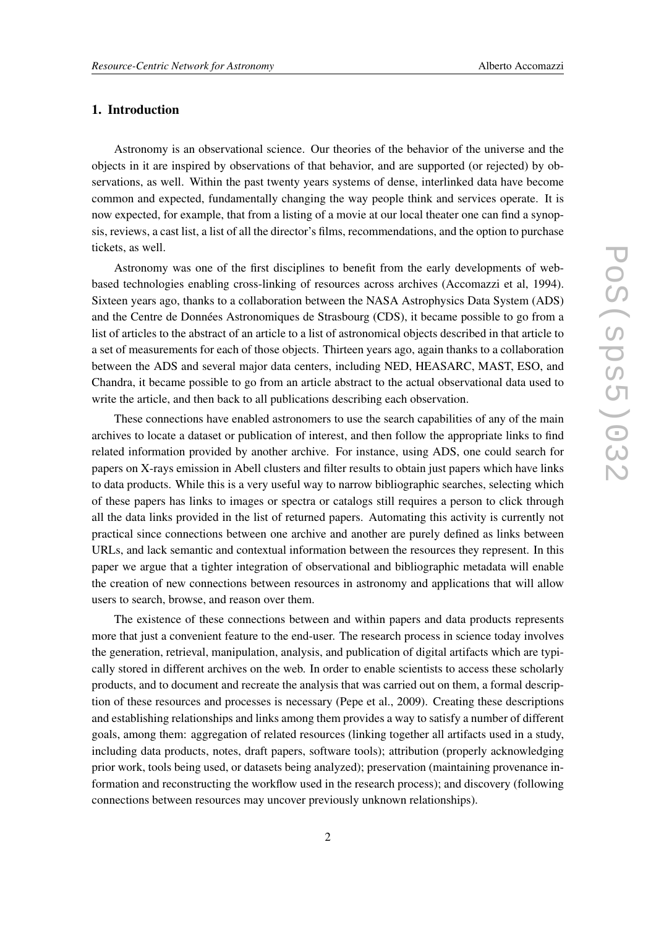## 1. Introduction

Astronomy is an observational science. Our theories of the behavior of the universe and the objects in it are inspired by observations of that behavior, and are supported (or rejected) by observations, as well. Within the past twenty years systems of dense, interlinked data have become common and expected, fundamentally changing the way people think and services operate. It is now expected, for example, that from a listing of a movie at our local theater one can find a synopsis, reviews, a cast list, a list of all the director's films, recommendations, and the option to purchase tickets, as well.

Astronomy was one of the first disciplines to benefit from the early developments of webbased technologies enabling cross-linking of resources across archives (Accomazzi et al, 1994). Sixteen years ago, thanks to a collaboration between the NASA Astrophysics Data System (ADS) and the Centre de Données Astronomiques de Strasbourg (CDS), it became possible to go from a list of articles to the abstract of an article to a list of astronomical objects described in that article to a set of measurements for each of those objects. Thirteen years ago, again thanks to a collaboration between the ADS and several major data centers, including NED, HEASARC, MAST, ESO, and Chandra, it became possible to go from an article abstract to the actual observational data used to write the article, and then back to all publications describing each observation.

These connections have enabled astronomers to use the search capabilities of any of the main archives to locate a dataset or publication of interest, and then follow the appropriate links to find related information provided by another archive. For instance, using ADS, one could search for papers on X-rays emission in Abell clusters and filter results to obtain just papers which have links to data products. While this is a very useful way to narrow bibliographic searches, selecting which of these papers has links to images or spectra or catalogs still requires a person to click through all the data links provided in the list of returned papers. Automating this activity is currently not practical since connections between one archive and another are purely defined as links between URLs, and lack semantic and contextual information between the resources they represent. In this paper we argue that a tighter integration of observational and bibliographic metadata will enable the creation of new connections between resources in astronomy and applications that will allow users to search, browse, and reason over them.

The existence of these connections between and within papers and data products represents more that just a convenient feature to the end-user. The research process in science today involves the generation, retrieval, manipulation, analysis, and publication of digital artifacts which are typically stored in different archives on the web. In order to enable scientists to access these scholarly products, and to document and recreate the analysis that was carried out on them, a formal description of these resources and processes is necessary (Pepe et al., 2009). Creating these descriptions and establishing relationships and links among them provides a way to satisfy a number of different goals, among them: aggregation of related resources (linking together all artifacts used in a study, including data products, notes, draft papers, software tools); attribution (properly acknowledging prior work, tools being used, or datasets being analyzed); preservation (maintaining provenance information and reconstructing the workflow used in the research process); and discovery (following connections between resources may uncover previously unknown relationships).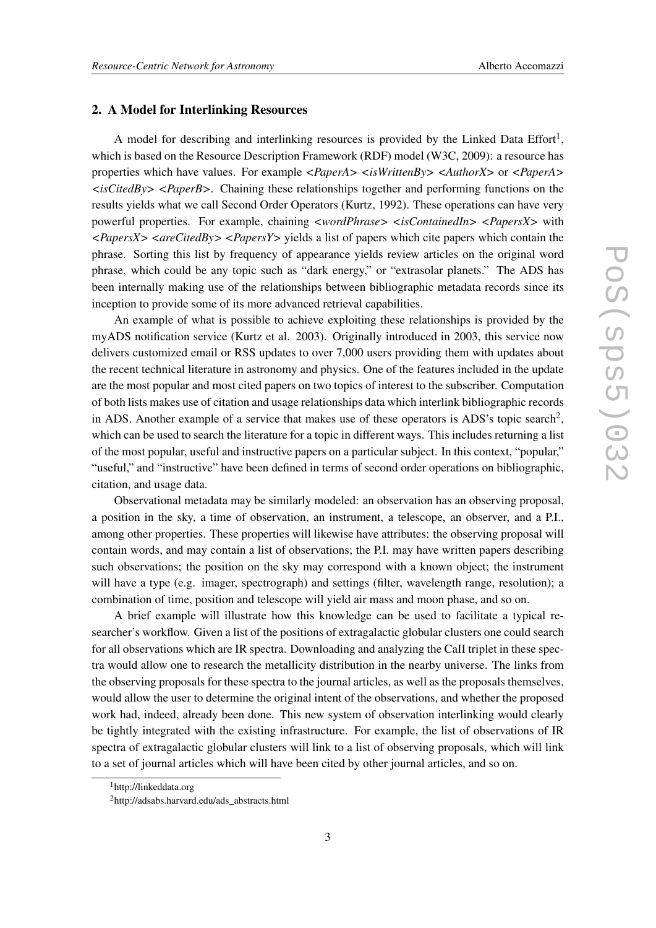#### 2. A Model for Interlinking Resources

A model for describing and interlinking resources is provided by the Linked Data Effort<sup>1</sup>, which is based on the Resource Description Framework (RDF) model (W3C, 2009): a resource has properties which have values. For example *<PaperA> <isWrittenBy> <AuthorX>* or *<PaperA>*  $\langle$ isCitedBy>  $\langle$ PaperB>. Chaining these relationships together and performing functions on the results yields what we call Second Order Operators (Kurtz, 1992). These operations can have very powerful properties. For example, chaining *<wordPhrase> <isContainedIn> <PapersX>* with *<PapersX> <areCitedBy> <PapersY>* yields a list of papers which cite papers which contain the phrase. Sorting this list by frequency of appearance yields review articles on the original word phrase, which could be any topic such as "dark energy," or "extrasolar planets." The ADS has been internally making use of the relationships between bibliographic metadata records since its inception to provide some of its more advanced retrieval capabilities.

An example of what is possible to achieve exploiting these relationships is provided by the myADS notification service (Kurtz et al. 2003). Originally introduced in 2003, this service now delivers customized email or RSS updates to over 7,000 users providing them with updates about the recent technical literature in astronomy and physics. One of the features included in the update are the most popular and most cited papers on two topics of interest to the subscriber. Computation of both lists makes use of citation and usage relationships data which interlink bibliographic records in ADS. Another example of a service that makes use of these operators is ADS's topic search<sup>2</sup>, which can be used to search the literature for a topic in different ways. This includes returning a list of the most popular, useful and instructive papers on a particular subject. In this context, "popular," "useful," and "instructive" have been defined in terms of second order operations on bibliographic, citation, and usage data.

Observational metadata may be similarly modeled: an observation has an observing proposal, a position in the sky, a time of observation, an instrument, a telescope, an observer, and a P.I., among other properties. These properties will likewise have attributes: the observing proposal will contain words, and may contain a list of observations; the P.I. may have written papers describing such observations; the position on the sky may correspond with a known object; the instrument will have a type (e.g. imager, spectrograph) and settings (filter, wavelength range, resolution); a combination of time, position and telescope will yield air mass and moon phase, and so on.

A brief example will illustrate how this knowledge can be used to facilitate a typical researcher's workflow. Given a list of the positions of extragalactic globular clusters one could search for all observations which are IR spectra. Downloading and analyzing the CaII triplet in these spectra would allow one to research the metallicity distribution in the nearby universe. The links from the observing proposals for these spectra to the journal articles, as well as the proposals themselves, would allow the user to determine the original intent of the observations, and whether the proposed work had, indeed, already been done. This new system of observation interlinking would clearly be tightly integrated with the existing infrastructure. For example, the list of observations of IR spectra of extragalactic globular clusters will link to a list of observing proposals, which will link to a set of journal articles which will have been cited by other journal articles, and so on.

<sup>1</sup>http://linkeddata.org

<sup>2</sup>http://adsabs.harvard.edu/ads\_abstracts.html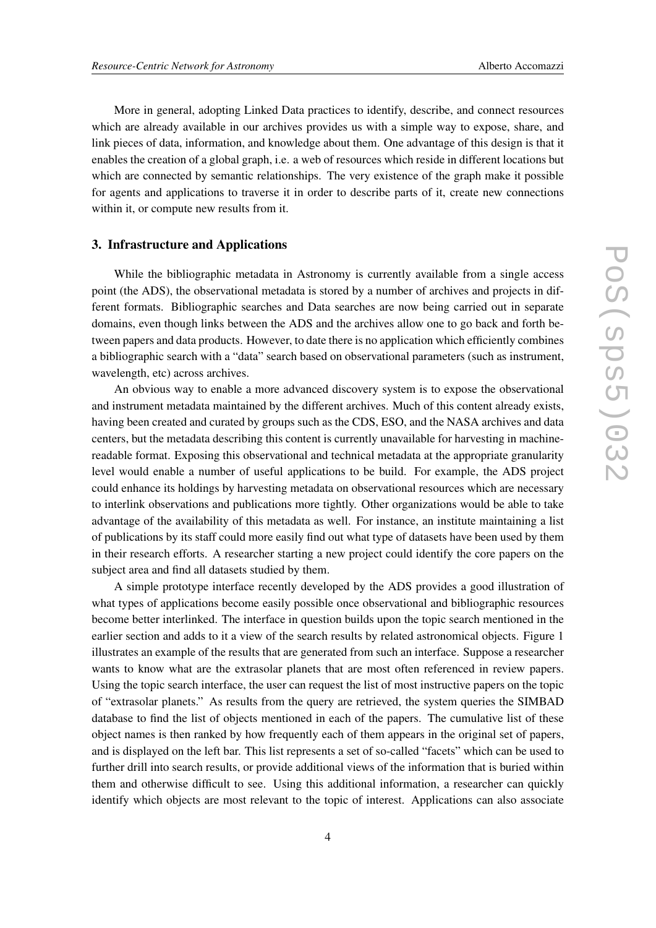More in general, adopting Linked Data practices to identify, describe, and connect resources which are already available in our archives provides us with a simple way to expose, share, and link pieces of data, information, and knowledge about them. One advantage of this design is that it enables the creation of a global graph, i.e. a web of resources which reside in different locations but which are connected by semantic relationships. The very existence of the graph make it possible for agents and applications to traverse it in order to describe parts of it, create new connections within it, or compute new results from it.

### 3. Infrastructure and Applications

While the bibliographic metadata in Astronomy is currently available from a single access point (the ADS), the observational metadata is stored by a number of archives and projects in different formats. Bibliographic searches and Data searches are now being carried out in separate domains, even though links between the ADS and the archives allow one to go back and forth between papers and data products. However, to date there is no application which efficiently combines a bibliographic search with a "data" search based on observational parameters (such as instrument, wavelength, etc) across archives.

An obvious way to enable a more advanced discovery system is to expose the observational and instrument metadata maintained by the different archives. Much of this content already exists, having been created and curated by groups such as the CDS, ESO, and the NASA archives and data centers, but the metadata describing this content is currently unavailable for harvesting in machinereadable format. Exposing this observational and technical metadata at the appropriate granularity level would enable a number of useful applications to be build. For example, the ADS project could enhance its holdings by harvesting metadata on observational resources which are necessary to interlink observations and publications more tightly. Other organizations would be able to take advantage of the availability of this metadata as well. For instance, an institute maintaining a list of publications by its staff could more easily find out what type of datasets have been used by them in their research efforts. A researcher starting a new project could identify the core papers on the subject area and find all datasets studied by them.

A simple prototype interface recently developed by the ADS provides a good illustration of what types of applications become easily possible once observational and bibliographic resources become better interlinked. The interface in question builds upon the topic search mentioned in the earlier section and adds to it a view of the search results by related astronomical objects. Figure 1 illustrates an example of the results that are generated from such an interface. Suppose a researcher wants to know what are the extrasolar planets that are most often referenced in review papers. Using the topic search interface, the user can request the list of most instructive papers on the topic of "extrasolar planets." As results from the query are retrieved, the system queries the SIMBAD database to find the list of objects mentioned in each of the papers. The cumulative list of these object names is then ranked by how frequently each of them appears in the original set of papers, and is displayed on the left bar. This list represents a set of so-called "facets" which can be used to further drill into search results, or provide additional views of the information that is buried within them and otherwise difficult to see. Using this additional information, a researcher can quickly identify which objects are most relevant to the topic of interest. Applications can also associate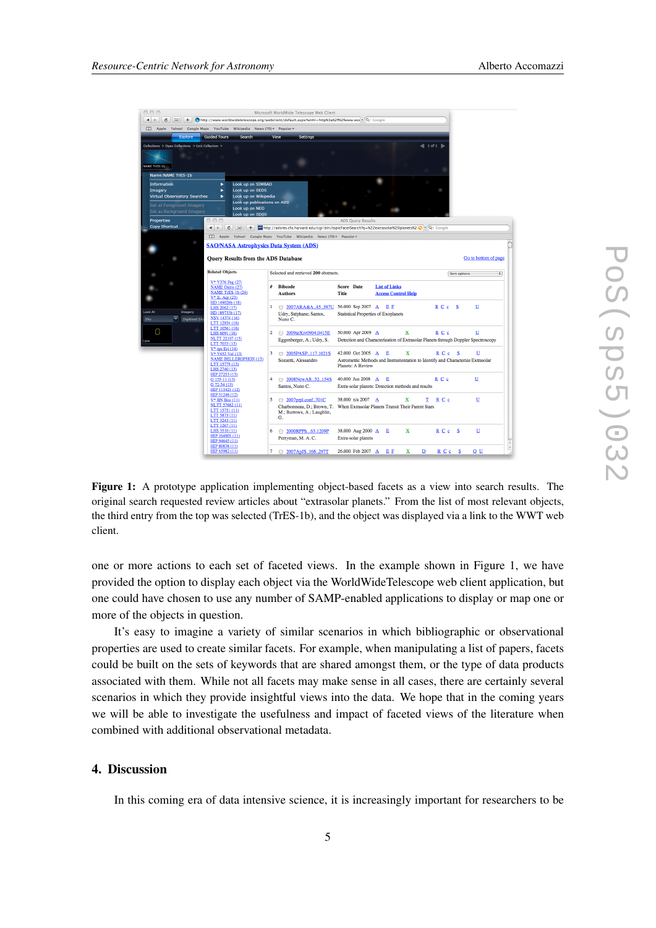| 000<br>Microsoft WorldWide Telescope Web Client<br>http://www.worldwidetelescope.org/webclient/default.aspx?wtml=http%3a%2f%2fwww.wor ^ Qv Google<br>$\blacktriangleleft$<br>Ċ<br>÷.<br>Yahoo! Google Maps YouTube Wikipedia News (70) ▼ Popular ▼<br>m<br>Apple<br><b>Guided Tours</b><br>View<br>Settings<br><b>Explore</b><br>Search<br>$\blacksquare$ 1 of 1 $\blacksquare$<br>Collections > Open Collections > Link Collection ><br>NAME TRES-16<br>Name: NAME TrES-1b<br>Look up on SIMBAD<br>Information<br>٠<br>Look up on SEDS<br>Imagery<br>Look up on Wikipedia<br>Virtual Observatory Searches<br>Look up publications on ADS<br>Set as Foreground Imagery<br>Look up on NED<br>Set as Background Imagery<br>Look up on SDSS<br>000<br>Properties<br><b>ADS Query Results</b><br><b>Copy Shortcut</b><br>55 http://adsres.cfa.harvard.edu/cqi-bin/topicFacetSearch?q=%22extrasolar%20planets%2;C) ^ (Qv Google<br>¢<br>$+$<br>$\leftarrow$<br>$\approx$<br>Apple Yahoo! Google Maps YouTube Wikipedia News (70) ▼ Popular ▼<br>m<br><b>SAO/NASA Astrophysics Data System (ADS)</b><br>Go to bottom of page<br><b>Query Results from the ADS Database</b> |
|----------------------------------------------------------------------------------------------------------------------------------------------------------------------------------------------------------------------------------------------------------------------------------------------------------------------------------------------------------------------------------------------------------------------------------------------------------------------------------------------------------------------------------------------------------------------------------------------------------------------------------------------------------------------------------------------------------------------------------------------------------------------------------------------------------------------------------------------------------------------------------------------------------------------------------------------------------------------------------------------------------------------------------------------------------------------------------------------------------------------------------------------------------------------|
|                                                                                                                                                                                                                                                                                                                                                                                                                                                                                                                                                                                                                                                                                                                                                                                                                                                                                                                                                                                                                                                                                                                                                                      |
|                                                                                                                                                                                                                                                                                                                                                                                                                                                                                                                                                                                                                                                                                                                                                                                                                                                                                                                                                                                                                                                                                                                                                                      |
|                                                                                                                                                                                                                                                                                                                                                                                                                                                                                                                                                                                                                                                                                                                                                                                                                                                                                                                                                                                                                                                                                                                                                                      |
|                                                                                                                                                                                                                                                                                                                                                                                                                                                                                                                                                                                                                                                                                                                                                                                                                                                                                                                                                                                                                                                                                                                                                                      |
|                                                                                                                                                                                                                                                                                                                                                                                                                                                                                                                                                                                                                                                                                                                                                                                                                                                                                                                                                                                                                                                                                                                                                                      |
|                                                                                                                                                                                                                                                                                                                                                                                                                                                                                                                                                                                                                                                                                                                                                                                                                                                                                                                                                                                                                                                                                                                                                                      |
|                                                                                                                                                                                                                                                                                                                                                                                                                                                                                                                                                                                                                                                                                                                                                                                                                                                                                                                                                                                                                                                                                                                                                                      |
|                                                                                                                                                                                                                                                                                                                                                                                                                                                                                                                                                                                                                                                                                                                                                                                                                                                                                                                                                                                                                                                                                                                                                                      |
|                                                                                                                                                                                                                                                                                                                                                                                                                                                                                                                                                                                                                                                                                                                                                                                                                                                                                                                                                                                                                                                                                                                                                                      |
|                                                                                                                                                                                                                                                                                                                                                                                                                                                                                                                                                                                                                                                                                                                                                                                                                                                                                                                                                                                                                                                                                                                                                                      |
|                                                                                                                                                                                                                                                                                                                                                                                                                                                                                                                                                                                                                                                                                                                                                                                                                                                                                                                                                                                                                                                                                                                                                                      |
|                                                                                                                                                                                                                                                                                                                                                                                                                                                                                                                                                                                                                                                                                                                                                                                                                                                                                                                                                                                                                                                                                                                                                                      |
|                                                                                                                                                                                                                                                                                                                                                                                                                                                                                                                                                                                                                                                                                                                                                                                                                                                                                                                                                                                                                                                                                                                                                                      |
|                                                                                                                                                                                                                                                                                                                                                                                                                                                                                                                                                                                                                                                                                                                                                                                                                                                                                                                                                                                                                                                                                                                                                                      |
|                                                                                                                                                                                                                                                                                                                                                                                                                                                                                                                                                                                                                                                                                                                                                                                                                                                                                                                                                                                                                                                                                                                                                                      |
|                                                                                                                                                                                                                                                                                                                                                                                                                                                                                                                                                                                                                                                                                                                                                                                                                                                                                                                                                                                                                                                                                                                                                                      |
|                                                                                                                                                                                                                                                                                                                                                                                                                                                                                                                                                                                                                                                                                                                                                                                                                                                                                                                                                                                                                                                                                                                                                                      |
|                                                                                                                                                                                                                                                                                                                                                                                                                                                                                                                                                                                                                                                                                                                                                                                                                                                                                                                                                                                                                                                                                                                                                                      |
| <b>Related Objects</b><br>Selected and retrieved 200 abstracts.<br>Sort options<br>÷                                                                                                                                                                                                                                                                                                                                                                                                                                                                                                                                                                                                                                                                                                                                                                                                                                                                                                                                                                                                                                                                                 |
| V* V376 Peg (27)<br>#<br><b>Bibcode</b><br><b>Score Date</b><br><b>List of Links</b><br><b>NAME Osiris (27)</b>                                                                                                                                                                                                                                                                                                                                                                                                                                                                                                                                                                                                                                                                                                                                                                                                                                                                                                                                                                                                                                                      |
| <b>NAME TrES-1b (24)</b><br><b>Title</b><br><b>Access Control Help</b><br><b>Authors</b><br>$V*$ IL Aqr (23)                                                                                                                                                                                                                                                                                                                                                                                                                                                                                                                                                                                                                                                                                                                                                                                                                                                                                                                                                                                                                                                         |
| HD 149026b (18)<br>ı                                                                                                                                                                                                                                                                                                                                                                                                                                                                                                                                                                                                                                                                                                                                                                                                                                                                                                                                                                                                                                                                                                                                                 |
| □ 2007ARA&A45397U 56.000 Sep 2007 A E E<br>RCc <sub>S</sub><br>u<br>LHS 2062 (17)<br>ook At<br>Imagery<br>HD 189733b (17)<br><b>Statistical Properties of Exoplanets</b><br>Udry, Stéphane; Santos,                                                                                                                                                                                                                                                                                                                                                                                                                                                                                                                                                                                                                                                                                                                                                                                                                                                                                                                                                                  |
| NSV 14374 (16)<br>Sky<br><b>Digitized Sk</b><br>Nuno C.<br>LTT 12934 (16)                                                                                                                                                                                                                                                                                                                                                                                                                                                                                                                                                                                                                                                                                                                                                                                                                                                                                                                                                                                                                                                                                            |
| LTT 10561 (16)<br>Ο<br>50.000 Apr 2009 A<br>$\overline{\mathbf{2}}$<br>2009arXiv0904.0415E<br>x<br>R C c<br>U                                                                                                                                                                                                                                                                                                                                                                                                                                                                                                                                                                                                                                                                                                                                                                                                                                                                                                                                                                                                                                                        |
| LHS 6091 (16)<br>NLTT 22107 (15)<br>Detection and Characterization of Extrasolar Planets through Doppler Spectroscopy<br>Eggenberger, A.; Udry, S.<br>-Vra                                                                                                                                                                                                                                                                                                                                                                                                                                                                                                                                                                                                                                                                                                                                                                                                                                                                                                                                                                                                           |
| LTT 7053 (15)<br>$V*$ eps Eri (14)                                                                                                                                                                                                                                                                                                                                                                                                                                                                                                                                                                                                                                                                                                                                                                                                                                                                                                                                                                                                                                                                                                                                   |
| 3<br>42.000 Oct 2005 A<br>R C c S<br>U<br>$\Box$ 2005PASP117.1021S<br>E<br>x<br>V* V452 Vul (13)<br><b>NAME BELLEROPHON (13)</b>                                                                                                                                                                                                                                                                                                                                                                                                                                                                                                                                                                                                                                                                                                                                                                                                                                                                                                                                                                                                                                     |
| Sozzetti, Alessandro<br>Astrometric Methods and Instrumentation to Identify and Characterize Extrasolar<br>LTT 15779 (13)<br><b>Planets: A Review</b>                                                                                                                                                                                                                                                                                                                                                                                                                                                                                                                                                                                                                                                                                                                                                                                                                                                                                                                                                                                                                |
| LHS 2740 (13)<br>HIP 27253 (13)                                                                                                                                                                                                                                                                                                                                                                                                                                                                                                                                                                                                                                                                                                                                                                                                                                                                                                                                                                                                                                                                                                                                      |
| R <sub>C</sub> c<br>U<br>4<br><b>■ 2008NewAR.52154S</b><br>40.000 Jun 2008 A<br>E<br>G 155-11 (13)<br>G 72-54 (13)                                                                                                                                                                                                                                                                                                                                                                                                                                                                                                                                                                                                                                                                                                                                                                                                                                                                                                                                                                                                                                                   |
| Santos, Nuno C.<br>Extra-solar planets: Detection methods and results<br>HIP 113421 (12)                                                                                                                                                                                                                                                                                                                                                                                                                                                                                                                                                                                                                                                                                                                                                                                                                                                                                                                                                                                                                                                                             |
| HIP 31246 (12)<br>U<br>5<br>38.000 n/a 2007 A<br>RCc<br>$\Box$ 2007prpl.conf701C<br>x<br>т<br>$V^*$ HN Boo $(11)$                                                                                                                                                                                                                                                                                                                                                                                                                                                                                                                                                                                                                                                                                                                                                                                                                                                                                                                                                                                                                                                    |
| <b>NLTT 57682 (11)</b><br>Charbonneau, D.; Brown, T. When Extrasolar Planets Transit Their Parent Stars                                                                                                                                                                                                                                                                                                                                                                                                                                                                                                                                                                                                                                                                                                                                                                                                                                                                                                                                                                                                                                                              |
|                                                                                                                                                                                                                                                                                                                                                                                                                                                                                                                                                                                                                                                                                                                                                                                                                                                                                                                                                                                                                                                                                                                                                                      |
| LTT 15751 (11)<br>M.; Burrows, A.; Laughlin,<br>LTT 5873 (11)<br>G.                                                                                                                                                                                                                                                                                                                                                                                                                                                                                                                                                                                                                                                                                                                                                                                                                                                                                                                                                                                                                                                                                                  |
| LTT 3243 (11)<br>LTT 1267 (11)                                                                                                                                                                                                                                                                                                                                                                                                                                                                                                                                                                                                                                                                                                                                                                                                                                                                                                                                                                                                                                                                                                                                       |
| LHS 3510 (11)<br>38.000 Aug 2000 A<br>x<br>U<br>6<br>□ 2000RPPh63.1209P<br>Е<br>$\underline{R} \subseteq \underline{c} \subseteq \underline{S}$                                                                                                                                                                                                                                                                                                                                                                                                                                                                                                                                                                                                                                                                                                                                                                                                                                                                                                                                                                                                                      |
| HIP 104903 (11)<br>Perryman, M. A. C.<br>Extra-solar planets<br>HIP 94645 (11)<br>HIP 80838 (11)                                                                                                                                                                                                                                                                                                                                                                                                                                                                                                                                                                                                                                                                                                                                                                                                                                                                                                                                                                                                                                                                     |

Figure 1: A prototype application implementing object-based facets as a view into search results. The original search requested review articles about "extrasolar planets." From the list of most relevant objects, the third entry from the top was selected (TrES-1b), and the object was displayed via a link to the WWT web client.

one or more actions to each set of faceted views. In the example shown in Figure 1, we have provided the option to display each object via the WorldWideTelescope web client application, but one could have chosen to use any number of SAMP-enabled applications to display or map one or more of the objects in question.

It's easy to imagine a variety of similar scenarios in which bibliographic or observational properties are used to create similar facets. For example, when manipulating a list of papers, facets could be built on the sets of keywords that are shared amongst them, or the type of data products associated with them. While not all facets may make sense in all cases, there are certainly several scenarios in which they provide insightful views into the data. We hope that in the coming years we will be able to investigate the usefulness and impact of faceted views of the literature when combined with additional observational metadata.

## 4. Discussion

In this coming era of data intensive science, it is increasingly important for researchers to be